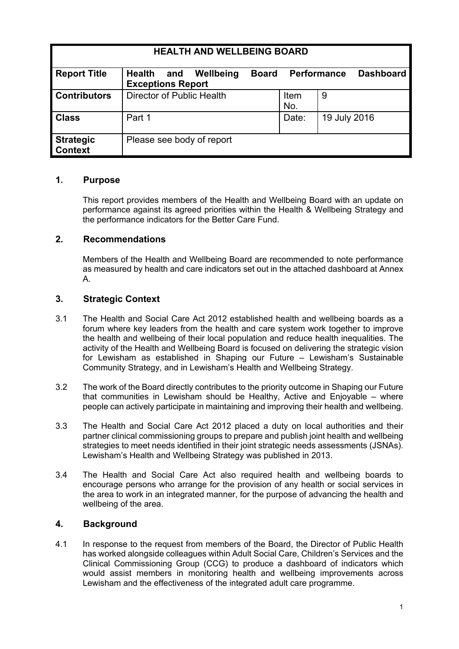| <b>HEALTH AND WELLBEING BOARD</b>  |                                                               |              |             |                    |                  |
|------------------------------------|---------------------------------------------------------------|--------------|-------------|--------------------|------------------|
| <b>Report Title</b>                | Wellbeing<br><b>Health</b><br>and<br><b>Exceptions Report</b> | <b>Board</b> |             | <b>Performance</b> | <b>Dashboard</b> |
| <b>Contributors</b>                | Director of Public Health                                     |              | Item<br>No. | 9                  |                  |
| <b>Class</b>                       | Part 1                                                        |              | Date:       | 19 July 2016       |                  |
| <b>Strategic</b><br><b>Context</b> | Please see body of report                                     |              |             |                    |                  |

#### **1. Purpose**

This report provides members of the Health and Wellbeing Board with an update on performance against its agreed priorities within the Health & Wellbeing Strategy and the performance indicators for the Better Care Fund.

#### **2. Recommendations**

Members of the Health and Wellbeing Board are recommended to note performance as measured by health and care indicators set out in the attached dashboard at Annex A.

#### **3. Strategic Context**

- 3.1 The [Health](http://webarchive.nationalarchives.gov.uk/20130805112926/http:/healthandcare.dh.gov.uk/act-factsheets) and Social Care Act 2012 established health and wellbeing boards as a forum where key leaders from the health and care system work together to improve the health and wellbeing of their local population and reduce health inequalities. The activity of the Health and Wellbeing Board is focused on delivering the strategic vision for Lewisham as established in Shaping our Future *–* Lewisham's Sustainable Community Strategy, and in Lewisham's Health and Wellbeing Strategy.
- 3.2 The work of the Board directly contributes to the priority outcome in Shaping our Future that communities in Lewisham should be Healthy, Active and Enjoyable – where people can actively participate in maintaining and improving their health and wellbeing.
- 3.3 The Health and Social Care Act 2012 placed a duty on local authorities and their partner clinical commissioning groups to prepare and publish joint health and wellbeing strategies to meet needs identified in their joint strategic needs assessments (JSNAs). Lewisham's Health and Wellbeing Strategy was published in 2013.
- 3.4 The Health and Social Care Act also required health and wellbeing boards to encourage persons who arrange for the provision of any health or social services in the area to work in an integrated manner, for the purpose of advancing the health and wellbeing of the area.

#### **4. Background**

4.1 In response to the request from members of the Board, the Director of Public Health has worked alongside colleagues within Adult Social Care, Children's Services and the Clinical Commissioning Group (CCG) to produce a dashboard of indicators which would assist members in monitoring health and wellbeing improvements across Lewisham and the effectiveness of the integrated adult care programme.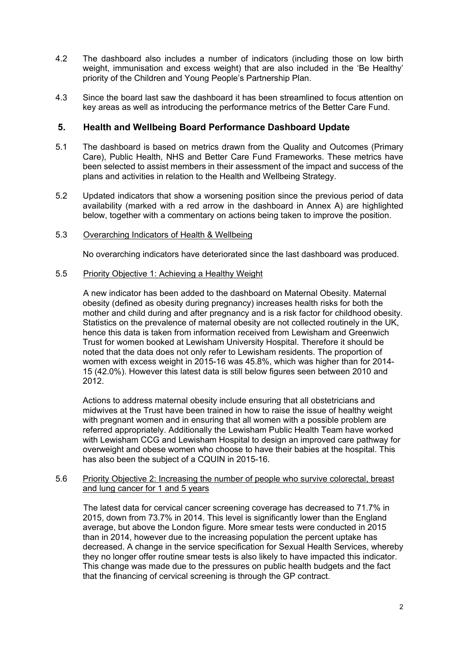- 4.2 The dashboard also includes a number of indicators (including those on low birth weight, immunisation and excess weight) that are also included in the 'Be Healthy' priority of the Children and Young People's Partnership Plan.
- 4.3 Since the board last saw the dashboard it has been streamlined to focus attention on key areas as well as introducing the performance metrics of the Better Care Fund.

#### **5. Health and Wellbeing Board Performance Dashboard Update**

- 5.1 The dashboard is based on metrics drawn from the Quality and Outcomes (Primary Care), Public Health, NHS and Better Care Fund Frameworks. These metrics have been selected to assist members in their assessment of the impact and success of the plans and activities in relation to the Health and Wellbeing Strategy.
- 5.2 Updated indicators that show a worsening position since the previous period of data availability (marked with a red arrow in the dashboard in Annex A) are highlighted below, together with a commentary on actions being taken to improve the position.

#### 5.3 Overarching Indicators of Health & Wellbeing

No overarching indicators have deteriorated since the last dashboard was produced.

#### 5.5 Priority Objective 1: Achieving a Healthy Weight

A new indicator has been added to the dashboard on Maternal Obesity. Maternal obesity (defined as obesity during pregnancy) increases health risks for both the mother and child during and after pregnancy and is a risk factor for childhood obesity. Statistics on the prevalence of maternal obesity are not collected routinely in the UK, hence this data is taken from information received from Lewisham and Greenwich Trust for women booked at Lewisham University Hospital. Therefore it should be noted that the data does not only refer to Lewisham residents. The proportion of women with excess weight in 2015-16 was 45.8%, which was higher than for 2014- 15 (42.0%). However this latest data is still below figures seen between 2010 and 2012.

Actions to address maternal obesity include ensuring that all obstetricians and midwives at the Trust have been trained in how to raise the issue of healthy weight with pregnant women and in ensuring that all women with a possible problem are referred appropriately. Additionally the Lewisham Public Health Team have worked with Lewisham CCG and Lewisham Hospital to design an improved care pathway for overweight and obese women who choose to have their babies at the hospital. This has also been the subject of a CQUIN in 2015-16.

#### 5.6 Priority Objective 2: Increasing the number of people who survive colorectal, breast and lung cancer for 1 and 5 years

The latest data for cervical cancer screening coverage has decreased to 71.7% in 2015, down from 73.7% in 2014. This level is significantly lower than the England average, but above the London figure. More smear tests were conducted in 2015 than in 2014, however due to the increasing population the percent uptake has decreased. A change in the service specification for Sexual Health Services, whereby they no longer offer routine smear tests is also likely to have impacted this indicator. This change was made due to the pressures on public health budgets and the fact that the financing of cervical screening is through the GP contract.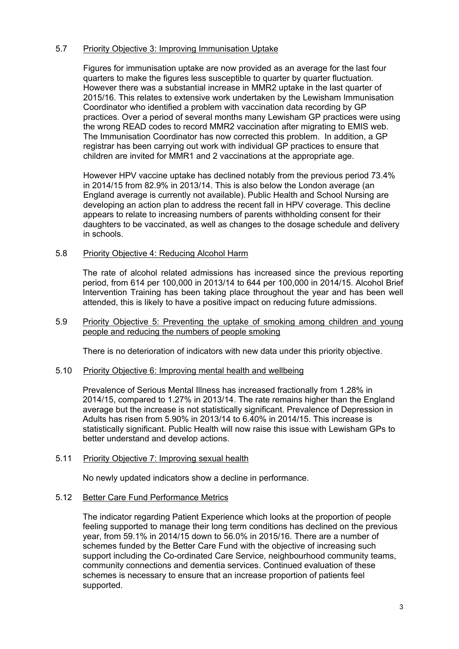#### 5.7 Priority Objective 3: Improving Immunisation Uptake

Figures for immunisation uptake are now provided as an average for the last four quarters to make the figures less susceptible to quarter by quarter fluctuation. However there was a substantial increase in MMR2 uptake in the last quarter of 2015/16. This relates to extensive work undertaken by the Lewisham Immunisation Coordinator who identified a problem with vaccination data recording by GP practices. Over a period of several months many Lewisham GP practices were using the wrong READ codes to record MMR2 vaccination after migrating to EMIS web. The Immunisation Coordinator has now corrected this problem. In addition, a GP registrar has been carrying out work with individual GP practices to ensure that children are invited for MMR1 and 2 vaccinations at the appropriate age.

However HPV vaccine uptake has declined notably from the previous period 73.4% in 2014/15 from 82.9% in 2013/14. This is also below the London average (an England average is currently not available). Public Health and School Nursing are developing an action plan to address the recent fall in HPV coverage. This decline appears to relate to increasing numbers of parents withholding consent for their daughters to be vaccinated, as well as changes to the dosage schedule and delivery in schools.

#### 5.8 Priority Objective 4: Reducing Alcohol Harm

The rate of alcohol related admissions has increased since the previous reporting period, from 614 per 100,000 in 2013/14 to 644 per 100,000 in 2014/15. Alcohol Brief Intervention Training has been taking place throughout the year and has been well attended, this is likely to have a positive impact on reducing future admissions.

#### 5.9 Priority Objective 5: Preventing the uptake of smoking among children and young people and reducing the numbers of people smoking

There is no deterioration of indicators with new data under this priority objective.

#### 5.10 Priority Objective 6: Improving mental health and wellbeing

Prevalence of Serious Mental Illness has increased fractionally from 1.28% in 2014/15, compared to 1.27% in 2013/14. The rate remains higher than the England average but the increase is not statistically significant. Prevalence of Depression in Adults has risen from 5.90% in 2013/14 to 6.40% in 2014/15. This increase is statistically significant. Public Health will now raise this issue with Lewisham GPs to better understand and develop actions.

#### 5.11 Priority Objective 7: Improving sexual health

No newly updated indicators show a decline in performance.

#### 5.12 Better Care Fund Performance Metrics

The indicator regarding Patient Experience which looks at the proportion of people feeling supported to manage their long term conditions has declined on the previous year, from 59.1% in 2014/15 down to 56.0% in 2015/16. There are a number of schemes funded by the Better Care Fund with the objective of increasing such support including the Co-ordinated Care Service, neighbourhood community teams, community connections and dementia services. Continued evaluation of these schemes is necessary to ensure that an increase proportion of patients feel supported.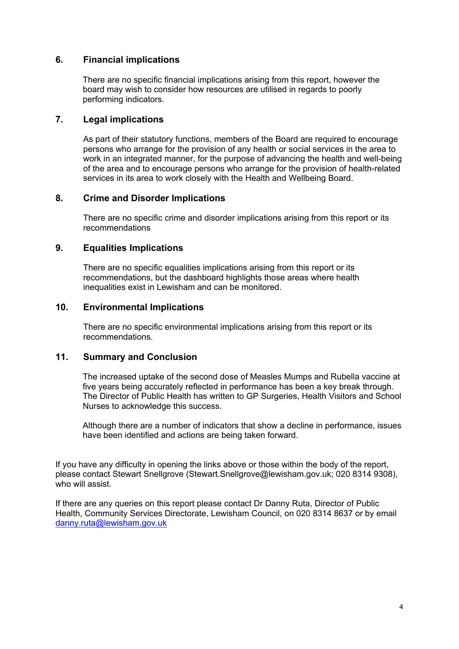#### **6. Financial implications**

There are no specific financial implications arising from this report, however the board may wish to consider how resources are utilised in regards to poorly performing indicators.

#### **7. Legal implications**

As part of their statutory functions, members of the Board are required to encourage persons who arrange for the provision of any health or social services in the area to work in an integrated manner, for the purpose of advancing the health and well-being of the area and to encourage persons who arrange for the provision of health-related services in its area to work closely with the Health and Wellbeing Board.

#### **8. Crime and Disorder Implications**

There are no specific crime and disorder implications arising from this report or its recommendations

#### **9. Equalities Implications**

There are no specific equalities implications arising from this report or its recommendations, but the dashboard highlights those areas where health inequalities exist in Lewisham and can be monitored.

#### **10. Environmental Implications**

There are no specific environmental implications arising from this report or its recommendations.

#### **11. Summary and Conclusion**

The increased uptake of the second dose of Measles Mumps and Rubella vaccine at five years being accurately reflected in performance has been a key break through. The Director of Public Health has written to GP Surgeries, Health Visitors and School Nurses to acknowledge this success.

Although there are a number of indicators that show a decline in performance, issues have been identified and actions are being taken forward.

If you have any difficulty in opening the links above or those within the body of the report, please contact Stewart Snellgrove (Stewart.Snellgrove@lewisham.gov.uk; 020 8314 9308), who will assist.

If there are any queries on this report please contact Dr Danny Ruta, Director of Public Health, Community Services Directorate, Lewisham Council, on 020 8314 8637 or by email [danny.ruta@lewisham.gov.uk](mailto:danny.ruta@lewisham.gov.uk)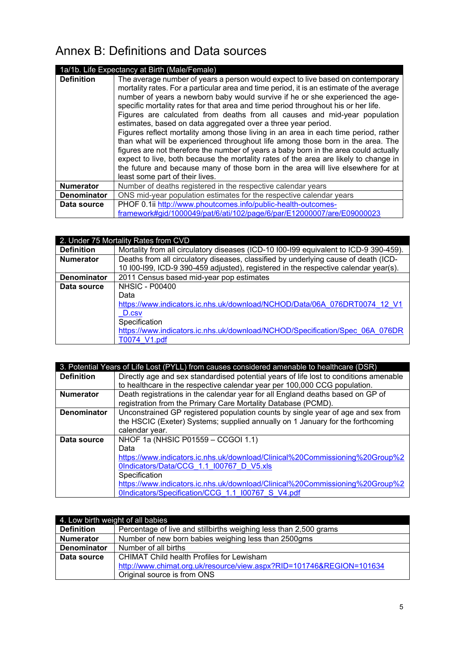# Annex B: Definitions and Data sources

| 1a/1b. Life Expectancy at Birth (Male/Female) |                                                                                                                                                                                                                                                                                                                                                                                                                                                                                                                                                                                                                                                                                                                                                                                                                                                                                                                                                                                     |  |
|-----------------------------------------------|-------------------------------------------------------------------------------------------------------------------------------------------------------------------------------------------------------------------------------------------------------------------------------------------------------------------------------------------------------------------------------------------------------------------------------------------------------------------------------------------------------------------------------------------------------------------------------------------------------------------------------------------------------------------------------------------------------------------------------------------------------------------------------------------------------------------------------------------------------------------------------------------------------------------------------------------------------------------------------------|--|
| <b>Definition</b>                             | The average number of years a person would expect to live based on contemporary<br>mortality rates. For a particular area and time period, it is an estimate of the average<br>number of years a newborn baby would survive if he or she experienced the age-<br>specific mortality rates for that area and time period throughout his or her life.<br>Figures are calculated from deaths from all causes and mid-year population<br>estimates, based on data aggregated over a three year period.<br>Figures reflect mortality among those living in an area in each time period, rather<br>than what will be experienced throughout life among those born in the area. The<br>figures are not therefore the number of years a baby born in the area could actually<br>expect to live, both because the mortality rates of the area are likely to change in<br>the future and because many of those born in the area will live elsewhere for at<br>least some part of their lives. |  |
| <b>Numerator</b>                              | Number of deaths registered in the respective calendar years                                                                                                                                                                                                                                                                                                                                                                                                                                                                                                                                                                                                                                                                                                                                                                                                                                                                                                                        |  |
| <b>Denominator</b>                            | ONS mid-year population estimates for the respective calendar years                                                                                                                                                                                                                                                                                                                                                                                                                                                                                                                                                                                                                                                                                                                                                                                                                                                                                                                 |  |
| Data source                                   | PHOF 0.1ii http://www.phoutcomes.info/public-health-outcomes-                                                                                                                                                                                                                                                                                                                                                                                                                                                                                                                                                                                                                                                                                                                                                                                                                                                                                                                       |  |
|                                               | framework#gid/1000049/pat/6/ati/102/page/6/par/E12000007/are/E09000023                                                                                                                                                                                                                                                                                                                                                                                                                                                                                                                                                                                                                                                                                                                                                                                                                                                                                                              |  |

| 2. Under 75 Mortality Rates from CVD |                                                                                       |  |
|--------------------------------------|---------------------------------------------------------------------------------------|--|
| <b>Definition</b>                    | Mortality from all circulatory diseases (ICD-10 I00-I99 equivalent to ICD-9 390-459). |  |
| <b>Numerator</b>                     | Deaths from all circulatory diseases, classified by underlying cause of death (ICD-   |  |
|                                      | 10 I00-I99, ICD-9 390-459 adjusted), registered in the respective calendar year(s).   |  |
| <b>Denominator</b>                   | 2011 Census based mid-year pop estimates                                              |  |
| Data source                          | <b>NHSIC - P00400</b>                                                                 |  |
|                                      | Data                                                                                  |  |
|                                      | https://www.indicators.ic.nhs.uk/download/NCHOD/Data/06A 076DRT0074 12 V1             |  |
|                                      | D.csv                                                                                 |  |
|                                      | Specification                                                                         |  |
|                                      | https://www.indicators.ic.nhs.uk/download/NCHOD/Specification/Spec 06A 076DR          |  |
|                                      | T0074 V1.pdf                                                                          |  |

|                    | 3. Potential Years of Life Lost (PYLL) from causes considered amenable to healthcare (DSR) |
|--------------------|--------------------------------------------------------------------------------------------|
| <b>Definition</b>  | Directly age and sex standardised potential years of life lost to conditions amenable      |
|                    | to healthcare in the respective calendar year per 100,000 CCG population.                  |
| <b>Numerator</b>   | Death registrations in the calendar year for all England deaths based on GP of             |
|                    | registration from the Primary Care Mortality Database (PCMD).                              |
| <b>Denominator</b> | Unconstrained GP registered population counts by single year of age and sex from           |
|                    | the HSCIC (Exeter) Systems; supplied annually on 1 January for the forthcoming             |
|                    | calendar year.                                                                             |
| Data source        | NHOF 1a (NHSIC P01559 - CCGOI 1.1)                                                         |
|                    | Data                                                                                       |
|                    | https://www.indicators.ic.nhs.uk/download/Clinical%20Commissioning%20Group%2               |
|                    | OIndicators/Data/CCG 1.1 I00767 D V5.xls                                                   |
|                    | Specification                                                                              |
|                    | https://www.indicators.ic.nhs.uk/download/Clinical%20Commissioning%20Group%2               |
|                    | OIndicators/Specification/CCG 1.1 I00767 S V4.pdf                                          |

| 4. Low birth weight of all babies |                                                                      |  |
|-----------------------------------|----------------------------------------------------------------------|--|
| <b>Definition</b>                 | Percentage of live and stillbirths weighing less than 2,500 grams    |  |
| <b>Numerator</b>                  | Number of new born babies weighing less than 2500gms                 |  |
| <b>Denominator</b>                | Number of all births                                                 |  |
| Data source                       | <b>CHIMAT Child health Profiles for Lewisham</b>                     |  |
|                                   | http://www.chimat.org.uk/resource/view.aspx?RID=101746&REGION=101634 |  |
|                                   | Original source is from ONS                                          |  |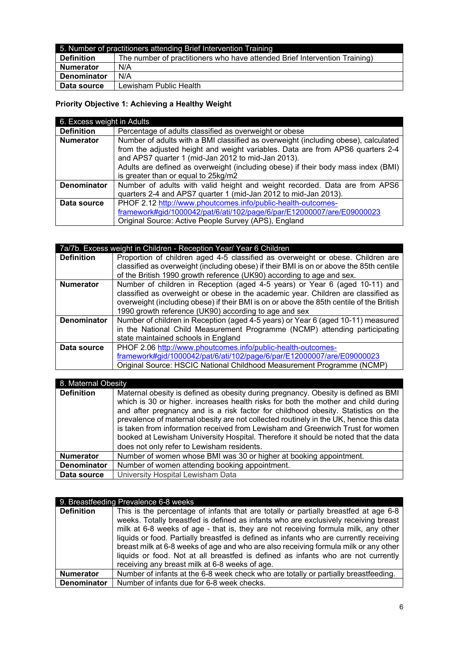| 5. Number of practitioners attending Brief Intervention Training |                                                                            |
|------------------------------------------------------------------|----------------------------------------------------------------------------|
| <b>Definition</b>                                                | The number of practitioners who have attended Brief Intervention Training) |
| <b>Numerator</b>                                                 | N/A                                                                        |
| <b>Denominator</b>                                               | N/A                                                                        |
| Data source                                                      | Lewisham Public Health                                                     |

# **Priority Objective 1: Achieving a Healthy Weight**

| 6. Excess weight in Adults |                                                                                    |  |
|----------------------------|------------------------------------------------------------------------------------|--|
| <b>Definition</b>          | Percentage of adults classified as overweight or obese                             |  |
| <b>Numerator</b>           | Number of adults with a BMI classified as overweight (including obese), calculated |  |
|                            | from the adjusted height and weight variables. Data are from APS6 quarters 2-4     |  |
|                            | and APS7 quarter 1 (mid-Jan 2012 to mid-Jan 2013).                                 |  |
|                            | Adults are defined as overweight (including obese) if their body mass index (BMI)  |  |
|                            | is greater than or equal to 25kg/m2                                                |  |
| <b>Denominator</b>         | Number of adults with valid height and weight recorded. Data are from APS6         |  |
|                            | quarters 2-4 and APS7 quarter 1 (mid-Jan 2012 to mid-Jan 2013).                    |  |
| Data source                | PHOF 2.12 http://www.phoutcomes.info/public-health-outcomes-                       |  |
|                            | framework#gid/1000042/pat/6/ati/102/page/6/par/E12000007/are/E09000023             |  |
|                            | Original Source: Active People Survey (APS), England                               |  |

| 7a/7b. Excess weight in Children - Reception Year/ Year 6 Children |                                                                                          |  |
|--------------------------------------------------------------------|------------------------------------------------------------------------------------------|--|
| <b>Definition</b>                                                  | Proportion of children aged 4-5 classified as overweight or obese. Children are          |  |
|                                                                    | classified as overweight (including obese) if their BMI is on or above the 85th centile  |  |
|                                                                    | of the British 1990 growth reference (UK90) according to age and sex.                    |  |
| <b>Numerator</b>                                                   | Number of children in Reception (aged 4-5 years) or Year 6 (aged 10-11) and              |  |
|                                                                    | classified as overweight or obese in the academic year. Children are classified as       |  |
|                                                                    | overweight (including obese) if their BMI is on or above the 85th centile of the British |  |
|                                                                    | 1990 growth reference (UK90) according to age and sex                                    |  |
| <b>Denominator</b>                                                 | Number of children in Reception (aged 4-5 years) or Year 6 (aged 10-11) measured         |  |
|                                                                    | in the National Child Measurement Programme (NCMP) attending participating               |  |
|                                                                    | state maintained schools in England                                                      |  |
| Data source                                                        | PHOF 2.06 http://www.phoutcomes.info/public-health-outcomes-                             |  |
|                                                                    | framework#gid/1000042/pat/6/ati/102/page/6/par/E12000007/are/E09000023                   |  |
|                                                                    | Original Source: HSCIC National Childhood Measurement Programme (NCMP)                   |  |

| 8. Maternal Obesity |                                                                                                                                                                                                                                                                                                                                                                                                                                                                                                                                                                              |  |
|---------------------|------------------------------------------------------------------------------------------------------------------------------------------------------------------------------------------------------------------------------------------------------------------------------------------------------------------------------------------------------------------------------------------------------------------------------------------------------------------------------------------------------------------------------------------------------------------------------|--|
| <b>Definition</b>   | Maternal obesity is defined as obesity during pregnancy. Obesity is defined as BMI<br>which is 30 or higher. increases health risks for both the mother and child during<br>and after pregnancy and is a risk factor for childhood obesity. Statistics on the<br>prevalence of maternal obesity are not collected routinely in the UK, hence this data<br>is taken from information received from Lewisham and Greenwich Trust for women<br>booked at Lewisham University Hospital. Therefore it should be noted that the data<br>does not only refer to Lewisham residents. |  |
| <b>Numerator</b>    | Number of women whose BMI was 30 or higher at booking appointment.                                                                                                                                                                                                                                                                                                                                                                                                                                                                                                           |  |
| <b>Denominator</b>  | Number of women attending booking appointment.                                                                                                                                                                                                                                                                                                                                                                                                                                                                                                                               |  |
| Data source         | University Hospital Lewisham Data                                                                                                                                                                                                                                                                                                                                                                                                                                                                                                                                            |  |

| 9. Breastfeeding Prevalence 6-8 weeks |                                                                                                                                                                                                                                                                                                                                                                                                                                                                                                                                          |  |
|---------------------------------------|------------------------------------------------------------------------------------------------------------------------------------------------------------------------------------------------------------------------------------------------------------------------------------------------------------------------------------------------------------------------------------------------------------------------------------------------------------------------------------------------------------------------------------------|--|
| <b>Definition</b>                     | This is the percentage of infants that are totally or partially breastfed at age 6-8<br>weeks. Totally breastfed is defined as infants who are exclusively receiving breast<br>milk at 6-8 weeks of age - that is, they are not receiving formula milk, any other<br>liquids or food. Partially breastfed is defined as infants who are currently receiving<br>breast milk at 6-8 weeks of age and who are also receiving formula milk or any other<br>liquids or food. Not at all breastfed is defined as infants who are not currently |  |
|                                       | receiving any breast milk at 6-8 weeks of age.                                                                                                                                                                                                                                                                                                                                                                                                                                                                                           |  |
| <b>Numerator</b>                      | Number of infants at the 6-8 week check who are totally or partially breastfeeding.                                                                                                                                                                                                                                                                                                                                                                                                                                                      |  |
| <b>Denominator</b>                    | Number of infants due for 6-8 week checks.                                                                                                                                                                                                                                                                                                                                                                                                                                                                                               |  |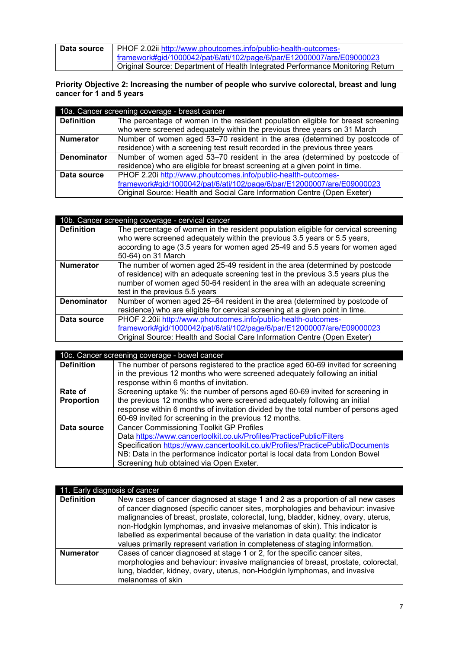| Data source | PHOF 2.02ii http://www.phoutcomes.info/public-health-outcomes-                 |
|-------------|--------------------------------------------------------------------------------|
|             | framework#gid/1000042/pat/6/ati/102/page/6/par/E12000007/are/E09000023         |
|             | Original Source: Department of Health Integrated Performance Monitoring Return |

**Priority Objective 2: Increasing the number of people who survive colorectal, breast and lung cancer for 1 and 5 years**

| 10a. Cancer screening coverage - breast cancer |                                                                                  |  |
|------------------------------------------------|----------------------------------------------------------------------------------|--|
| <b>Definition</b>                              | The percentage of women in the resident population eligible for breast screening |  |
|                                                | who were screened adequately within the previous three years on 31 March         |  |
| <b>Numerator</b>                               | Number of women aged 53–70 resident in the area (determined by postcode of       |  |
|                                                | residence) with a screening test result recorded in the previous three years     |  |
| <b>Denominator</b>                             | Number of women aged 53-70 resident in the area (determined by postcode of       |  |
|                                                | residence) who are eligible for breast screening at a given point in time.       |  |
| Data source                                    | PHOF 2.20i http://www.phoutcomes.info/public-health-outcomes-                    |  |
|                                                | framework#gid/1000042/pat/6/ati/102/page/6/par/E12000007/are/E09000023           |  |
|                                                | Original Source: Health and Social Care Information Centre (Open Exeter)         |  |

| 10b. Cancer screening coverage - cervical cancer |                                                                                                                                                                                                                                                                                 |
|--------------------------------------------------|---------------------------------------------------------------------------------------------------------------------------------------------------------------------------------------------------------------------------------------------------------------------------------|
| <b>Definition</b>                                | The percentage of women in the resident population eligible for cervical screening<br>who were screened adequately within the previous 3.5 years or 5.5 years,<br>according to age (3.5 years for women aged 25-49 and 5.5 years for women aged<br>50-64) on 31 March           |
| <b>Numerator</b>                                 | The number of women aged 25-49 resident in the area (determined by postcode<br>of residence) with an adequate screening test in the previous 3.5 years plus the<br>number of women aged 50-64 resident in the area with an adequate screening<br>test in the previous 5.5 years |
| <b>Denominator</b>                               | Number of women aged 25-64 resident in the area (determined by postcode of<br>residence) who are eligible for cervical screening at a given point in time.                                                                                                                      |
| Data source                                      | PHOF 2.20ii http://www.phoutcomes.info/public-health-outcomes-<br>framework#gid/1000042/pat/6/ati/102/page/6/par/E12000007/are/E09000023<br>Original Source: Health and Social Care Information Centre (Open Exeter)                                                            |

| 10c. Cancer screening coverage - bowel cancer |                                                                                    |
|-----------------------------------------------|------------------------------------------------------------------------------------|
| <b>Definition</b>                             | The number of persons registered to the practice aged 60-69 invited for screening  |
|                                               | in the previous 12 months who were screened adequately following an initial        |
|                                               | response within 6 months of invitation.                                            |
| Rate of                                       | Screening uptake %: the number of persons aged 60-69 invited for screening in      |
| <b>Proportion</b>                             | the previous 12 months who were screened adequately following an initial           |
|                                               | response within 6 months of invitation divided by the total number of persons aged |
|                                               | 60-69 invited for screening in the previous 12 months.                             |
| Data source                                   | <b>Cancer Commissioning Toolkit GP Profiles</b>                                    |
|                                               | Data https://www.cancertoolkit.co.uk/Profiles/PracticePublic/Filters               |
|                                               | Specification https://www.cancertoolkit.co.uk/Profiles/PracticePublic/Documents    |
|                                               | NB: Data in the performance indicator portal is local data from London Bowel       |
|                                               | Screening hub obtained via Open Exeter.                                            |

|                   | 11. Early diagnosis of cancer                                                                                                                                                                                                                                                                                                                                                                                                                                                                               |  |
|-------------------|-------------------------------------------------------------------------------------------------------------------------------------------------------------------------------------------------------------------------------------------------------------------------------------------------------------------------------------------------------------------------------------------------------------------------------------------------------------------------------------------------------------|--|
| <b>Definition</b> | New cases of cancer diagnosed at stage 1 and 2 as a proportion of all new cases<br>of cancer diagnosed (specific cancer sites, morphologies and behaviour: invasive<br>malignancies of breast, prostate, colorectal, lung, bladder, kidney, ovary, uterus,<br>non-Hodgkin lymphomas, and invasive melanomas of skin). This indicator is<br>labelled as experimental because of the variation in data quality: the indicator<br>values primarily represent variation in completeness of staging information. |  |
| <b>Numerator</b>  | Cases of cancer diagnosed at stage 1 or 2, for the specific cancer sites,<br>morphologies and behaviour: invasive malignancies of breast, prostate, colorectal,<br>lung, bladder, kidney, ovary, uterus, non-Hodgkin lymphomas, and invasive<br>melanomas of skin                                                                                                                                                                                                                                           |  |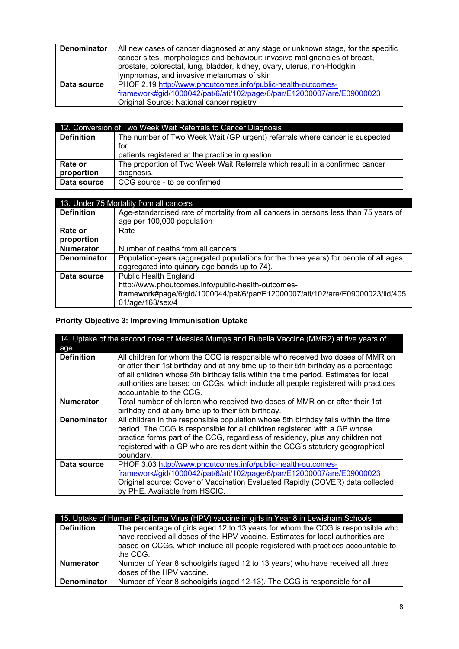| <b>Denominator</b> | All new cases of cancer diagnosed at any stage or unknown stage, for the specific<br>cancer sites, morphologies and behaviour: invasive malignancies of breast, |
|--------------------|-----------------------------------------------------------------------------------------------------------------------------------------------------------------|
|                    | prostate, colorectal, lung, bladder, kidney, ovary, uterus, non-Hodgkin                                                                                         |
|                    | lymphomas, and invasive melanomas of skin                                                                                                                       |
| Data source        | PHOF 2.19 http://www.phoutcomes.info/public-health-outcomes-                                                                                                    |
|                    | framework#gid/1000042/pat/6/ati/102/page/6/par/E12000007/are/E09000023                                                                                          |
|                    | Original Source: National cancer registry                                                                                                                       |

| 12. Conversion of Two Week Wait Referrals to Cancer Diagnosis |                                                                              |
|---------------------------------------------------------------|------------------------------------------------------------------------------|
| <b>Definition</b>                                             | The number of Two Week Wait (GP urgent) referrals where cancer is suspected  |
|                                                               | for                                                                          |
|                                                               | patients registered at the practice in question                              |
| Rate or                                                       | The proportion of Two Week Wait Referrals which result in a confirmed cancer |
| proportion                                                    | diagnosis.                                                                   |
| Data source                                                   | CCG source - to be confirmed                                                 |
|                                                               |                                                                              |

| 13. Under 75 Mortality from all cancers |                                                                                       |
|-----------------------------------------|---------------------------------------------------------------------------------------|
| <b>Definition</b>                       | Age-standardised rate of mortality from all cancers in persons less than 75 years of  |
|                                         | age per 100,000 population                                                            |
| Rate or                                 | Rate                                                                                  |
| proportion                              |                                                                                       |
| <b>Numerator</b>                        | Number of deaths from all cancers                                                     |
| <b>Denominator</b>                      | Population-years (aggregated populations for the three years) for people of all ages, |
|                                         | aggregated into quinary age bands up to 74).                                          |
| Data source                             | <b>Public Health England</b>                                                          |
|                                         | http://www.phoutcomes.info/public-health-outcomes-                                    |
|                                         | framework#page/6/gid/1000044/pat/6/par/E12000007/ati/102/are/E09000023/iid/405        |
|                                         | 01/age/163/sex/4                                                                      |

# **Priority Objective 3: Improving Immunisation Uptake**

| 14. Uptake of the second dose of Measles Mumps and Rubella Vaccine (MMR2) at five years of |                                                                                                                                                                                                                                                                                                                                                   |
|--------------------------------------------------------------------------------------------|---------------------------------------------------------------------------------------------------------------------------------------------------------------------------------------------------------------------------------------------------------------------------------------------------------------------------------------------------|
| age                                                                                        |                                                                                                                                                                                                                                                                                                                                                   |
| <b>Definition</b>                                                                          | All children for whom the CCG is responsible who received two doses of MMR on<br>or after their 1st birthday and at any time up to their 5th birthday as a percentage                                                                                                                                                                             |
|                                                                                            | of all children whose 5th birthday falls within the time period. Estimates for local<br>authorities are based on CCGs, which include all people registered with practices<br>accountable to the CCG.                                                                                                                                              |
| <b>Numerator</b>                                                                           | Total number of children who received two doses of MMR on or after their 1st<br>birthday and at any time up to their 5th birthday.                                                                                                                                                                                                                |
| <b>Denominator</b>                                                                         | All children in the responsible population whose 5th birthday falls within the time<br>period. The CCG is responsible for all children registered with a GP whose<br>practice forms part of the CCG, regardless of residency, plus any children not<br>registered with a GP who are resident within the CCG's statutory geographical<br>boundary. |
| Data source                                                                                | PHOF 3.03 http://www.phoutcomes.info/public-health-outcomes-<br>framework#gid/1000042/pat/6/ati/102/page/6/par/E12000007/are/E09000023<br>Original source: Cover of Vaccination Evaluated Rapidly (COVER) data collected<br>by PHE. Available from HSCIC.                                                                                         |

| 15. Uptake of Human Papilloma Virus (HPV) vaccine in girls in Year 8 in Lewisham Schools |                                                                                                                                                                                                                                                                    |
|------------------------------------------------------------------------------------------|--------------------------------------------------------------------------------------------------------------------------------------------------------------------------------------------------------------------------------------------------------------------|
| <b>Definition</b>                                                                        | The percentage of girls aged 12 to 13 years for whom the CCG is responsible who<br>have received all doses of the HPV vaccine. Estimates for local authorities are<br>based on CCGs, which include all people registered with practices accountable to<br>the CCG. |
| <b>Numerator</b>                                                                         | Number of Year 8 schoolgirls (aged 12 to 13 years) who have received all three<br>doses of the HPV vaccine.                                                                                                                                                        |
| <b>Denominator</b>                                                                       | Number of Year 8 schoolgirls (aged 12-13). The CCG is responsible for all                                                                                                                                                                                          |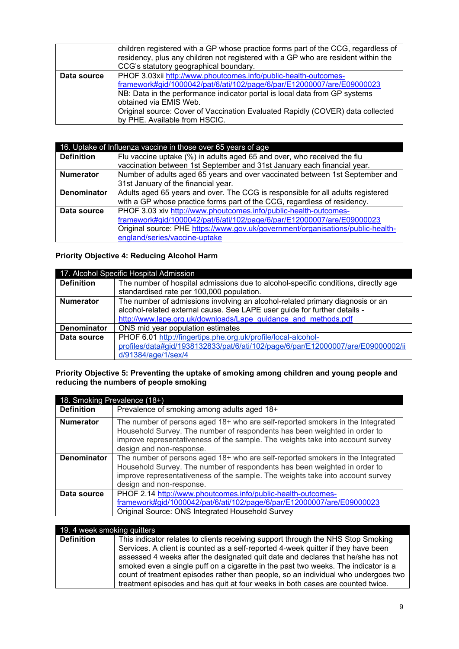|             | children registered with a GP whose practice forms part of the CCG, regardless of<br>residency, plus any children not registered with a GP who are resident within the<br>CCG's statutory geographical boundary.                                                                                                                    |
|-------------|-------------------------------------------------------------------------------------------------------------------------------------------------------------------------------------------------------------------------------------------------------------------------------------------------------------------------------------|
| Data source | PHOF 3.03xii http://www.phoutcomes.info/public-health-outcomes-<br>framework#gid/1000042/pat/6/ati/102/page/6/par/E12000007/are/E09000023<br>NB: Data in the performance indicator portal is local data from GP systems<br>obtained via EMIS Web.<br>Original source: Cover of Vaccination Evaluated Rapidly (COVER) data collected |
|             | by PHE. Available from HSCIC.                                                                                                                                                                                                                                                                                                       |

| 16. Uptake of Influenza vaccine in those over 65 years of age |                                                                                 |
|---------------------------------------------------------------|---------------------------------------------------------------------------------|
| <b>Definition</b>                                             | Flu vaccine uptake (%) in adults aged 65 and over, who received the flu         |
|                                                               | vaccination between 1st September and 31st January each financial year.         |
| <b>Numerator</b>                                              | Number of adults aged 65 years and over vaccinated between 1st September and    |
|                                                               | 31st January of the financial year.                                             |
| <b>Denominator</b>                                            | Adults aged 65 years and over. The CCG is responsible for all adults registered |
|                                                               | with a GP whose practice forms part of the CCG, regardless of residency.        |
| Data source                                                   | PHOF 3.03 xiv http://www.phoutcomes.info/public-health-outcomes-                |
|                                                               | framework#gid/1000042/pat/6/ati/102/page/6/par/E12000007/are/E09000023          |
|                                                               | Original source: PHE https://www.gov.uk/government/organisations/public-health- |
|                                                               | england/series/vaccine-uptake                                                   |

### **Priority Objective 4: Reducing Alcohol Harm**

| 17. Alcohol Specific Hospital Admission |                                                                                                                                                                                                                              |
|-----------------------------------------|------------------------------------------------------------------------------------------------------------------------------------------------------------------------------------------------------------------------------|
| <b>Definition</b>                       | The number of hospital admissions due to alcohol-specific conditions, directly age<br>standardised rate per 100,000 population.                                                                                              |
| <b>Numerator</b>                        | The number of admissions involving an alcohol-related primary diagnosis or an<br>alcohol-related external cause. See LAPE user guide for further details -<br>http://www.lape.org.uk/downloads/Lape guidance and methods.pdf |
| <b>Denominator</b>                      | ONS mid year population estimates                                                                                                                                                                                            |
| Data source                             | PHOF 6.01 http://fingertips.phe.org.uk/profile/local-alcohol-<br>profiles/data#gid/1938132833/pat/6/ati/102/page/6/par/E12000007/are/E09000002/ii<br>d/91384/age/1/sex/4                                                     |

#### **Priority Objective 5: Preventing the uptake of smoking among children and young people and reducing the numbers of people smoking**

|                    | 18. Smoking Prevalence (18+)                                                                                                                                                                                                                                              |  |
|--------------------|---------------------------------------------------------------------------------------------------------------------------------------------------------------------------------------------------------------------------------------------------------------------------|--|
| <b>Definition</b>  | Prevalence of smoking among adults aged 18+                                                                                                                                                                                                                               |  |
| <b>Numerator</b>   | The number of persons aged 18+ who are self-reported smokers in the Integrated<br>Household Survey. The number of respondents has been weighted in order to<br>improve representativeness of the sample. The weights take into account survey<br>design and non-response. |  |
| <b>Denominator</b> | The number of persons aged 18+ who are self-reported smokers in the Integrated<br>Household Survey. The number of respondents has been weighted in order to<br>improve representativeness of the sample. The weights take into account survey<br>design and non-response. |  |
| Data source        | PHOF 2.14 http://www.phoutcomes.info/public-health-outcomes-<br>framework#gid/1000042/pat/6/ati/102/page/6/par/E12000007/are/E09000023<br>Original Source: ONS Integrated Household Survey                                                                                |  |

| 19. 4 week smoking quitters |                                                                                    |
|-----------------------------|------------------------------------------------------------------------------------|
| <b>Definition</b>           | This indicator relates to clients receiving support through the NHS Stop Smoking   |
|                             | Services. A client is counted as a self-reported 4-week quitter if they have been  |
|                             | assessed 4 weeks after the designated quit date and declares that he/she has not   |
|                             | smoked even a single puff on a cigarette in the past two weeks. The indicator is a |
|                             | count of treatment episodes rather than people, so an individual who undergoes two |
|                             | treatment episodes and has quit at four weeks in both cases are counted twice.     |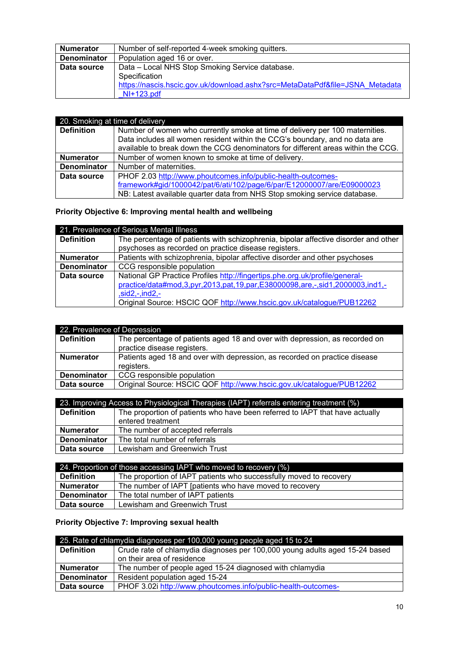| <b>Numerator</b>   | Number of self-reported 4-week smoking quitters.                             |
|--------------------|------------------------------------------------------------------------------|
| <b>Denominator</b> | Population aged 16 or over.                                                  |
| Data source        | Data - Local NHS Stop Smoking Service database.                              |
|                    | Specification                                                                |
|                    | https://nascis.hscic.gov.uk/download.ashx?src=MetaDataPdf&file=JSNA Metadata |
|                    | $NI+123.pdf$                                                                 |

| 20. Smoking at time of delivery |                                                                                  |
|---------------------------------|----------------------------------------------------------------------------------|
| <b>Definition</b>               | Number of women who currently smoke at time of delivery per 100 maternities.     |
|                                 | Data includes all women resident within the CCG's boundary, and no data are      |
|                                 | available to break down the CCG denominators for different areas within the CCG. |
| <b>Numerator</b>                | Number of women known to smoke at time of delivery.                              |
| <b>Denominator</b>              | Number of maternities.                                                           |
| Data source                     | PHOF 2.03 http://www.phoutcomes.info/public-health-outcomes-                     |
|                                 | framework#gid/1000042/pat/6/ati/102/page/6/par/E12000007/are/E09000023           |
|                                 | NB: Latest available quarter data from NHS Stop smoking service database.        |

## **Priority Objective 6: Improving mental health and wellbeing**

| 21. Prevalence of Serious Mental Illness |                                                                                     |
|------------------------------------------|-------------------------------------------------------------------------------------|
| <b>Definition</b>                        | The percentage of patients with schizophrenia, bipolar affective disorder and other |
|                                          | psychoses as recorded on practice disease registers.                                |
| <b>Numerator</b>                         | Patients with schizophrenia, bipolar affective disorder and other psychoses         |
| <b>Denominator</b>                       | CCG responsible population                                                          |
| Data source                              | National GP Practice Profiles http://fingertips.phe.org.uk/profile/general-         |
|                                          | practice/data#mod,3,pyr,2013,pat,19,par,E38000098,are,-,sid1,2000003,ind1,-         |
|                                          | $,sid2,-ind2,-$                                                                     |
|                                          | Original Source: HSCIC QOF http://www.hscic.gov.uk/catalogue/PUB12262               |

| 22. Prevalence of Depression |                                                                             |
|------------------------------|-----------------------------------------------------------------------------|
| <b>Definition</b>            | The percentage of patients aged 18 and over with depression, as recorded on |
|                              | practice disease registers.                                                 |
| <b>Numerator</b>             | Patients aged 18 and over with depression, as recorded on practice disease  |
|                              | registers.                                                                  |
| <b>Denominator</b>           | CCG responsible population                                                  |
| Data source                  | Original Source: HSCIC QOF http://www.hscic.gov.uk/catalogue/PUB12262       |

| 23. Improving Access to Physiological Therapies (IAPT) referrals entering treatment (%) |                                                                              |
|-----------------------------------------------------------------------------------------|------------------------------------------------------------------------------|
| <b>Definition</b>                                                                       | The proportion of patients who have been referred to IAPT that have actually |
|                                                                                         | entered treatment                                                            |
| <b>Numerator</b>                                                                        | The number of accepted referrals                                             |
| <b>Denominator</b>                                                                      | The total number of referrals                                                |
| Data source                                                                             | Lewisham and Greenwich Trust                                                 |

| 24. Proportion of those accessing IAPT who moved to recovery (%) |                                                                    |
|------------------------------------------------------------------|--------------------------------------------------------------------|
| <b>Definition</b>                                                | The proportion of IAPT patients who successfully moved to recovery |
| <b>Numerator</b>                                                 | The number of IAPT [patients who have moved to recovery            |
| Denominator                                                      | The total number of IAPT patients                                  |
| Data source                                                      | Lewisham and Greenwich Trust                                       |

## **Priority Objective 7: Improving sexual health**

| 25. Rate of chlamydia diagnoses per 100,000 young people aged 15 to 24 |                                                                             |
|------------------------------------------------------------------------|-----------------------------------------------------------------------------|
| <b>Definition</b>                                                      | Crude rate of chlamydia diagnoses per 100,000 young adults aged 15-24 based |
|                                                                        | on their area of residence                                                  |
| <b>Numerator</b>                                                       | The number of people aged 15-24 diagnosed with chlamydia                    |
| <b>Denominator</b>                                                     | Resident population aged 15-24                                              |
| Data source                                                            | PHOF 3.02i http://www.phoutcomes.info/public-health-outcomes-               |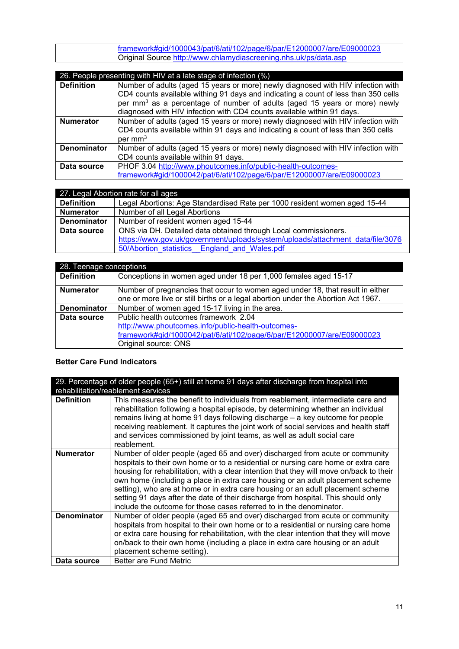| framework#gid/1000043/pat/6/ati/102/page/6/par/E12000007/are/E09000023 |
|------------------------------------------------------------------------|
| Original Source http://www.chlamydiascreening.nhs.uk/ps/data.asp       |

|                    | 26. People presenting with HIV at a late stage of infection (%)                                                                                                 |
|--------------------|-----------------------------------------------------------------------------------------------------------------------------------------------------------------|
| <b>Definition</b>  | Number of adults (aged 15 years or more) newly diagnosed with HIV infection with                                                                                |
|                    | CD4 counts available withing 91 days and indicating a count of less than 350 cells                                                                              |
|                    | per mm <sup>3</sup> as a percentage of number of adults (aged 15 years or more) newly<br>diagnosed with HIV infection with CD4 counts available within 91 days. |
|                    |                                                                                                                                                                 |
| <b>Numerator</b>   | Number of adults (aged 15 years or more) newly diagnosed with HIV infection with                                                                                |
|                    | CD4 counts available within 91 days and indicating a count of less than 350 cells                                                                               |
|                    | per mm <sup>3</sup>                                                                                                                                             |
| <b>Denominator</b> | Number of adults (aged 15 years or more) newly diagnosed with HIV infection with                                                                                |
|                    | CD4 counts available within 91 days.                                                                                                                            |
| Data source        | PHOF 3.04 http://www.phoutcomes.info/public-health-outcomes-                                                                                                    |
|                    | framework#gid/1000042/pat/6/ati/102/page/6/par/E12000007/are/E09000023                                                                                          |

|                    | 27. Legal Abortion rate for all ages                                           |
|--------------------|--------------------------------------------------------------------------------|
| <b>Definition</b>  | Legal Abortions: Age Standardised Rate per 1000 resident women aged 15-44      |
| <b>Numerator</b>   | Number of all Legal Abortions                                                  |
| <b>Denominator</b> | Number of resident women aged 15-44                                            |
| Data source        | ONS via DH. Detailed data obtained through Local commissioners.                |
|                    | https://www.gov.uk/government/uploads/system/uploads/attachment_data/file/3076 |
|                    | 50/Abortion statistics England and Wales.pdf                                   |

| 28. Teenage conceptions |                                                                                   |
|-------------------------|-----------------------------------------------------------------------------------|
| <b>Definition</b>       | Conceptions in women aged under 18 per 1,000 females aged 15-17                   |
| <b>Numerator</b>        | Number of pregnancies that occur to women aged under 18, that result in either    |
|                         | one or more live or still births or a legal abortion under the Abortion Act 1967. |
| <b>Denominator</b>      | Number of women aged 15-17 living in the area.                                    |
| Data source             | Public health outcomes framework 2.04                                             |
|                         | http://www.phoutcomes.info/public-health-outcomes-                                |
|                         | framework#gid/1000042/pat/6/ati/102/page/6/par/E12000007/are/E09000023            |
|                         | Original source: ONS                                                              |

#### **Better Care Fund Indicators**

| 29. Percentage of older people (65+) still at home 91 days after discharge from hospital into |                                                                                                                                                                                                                                                                                                                                                                                                                                                                                                                                                                                                |  |
|-----------------------------------------------------------------------------------------------|------------------------------------------------------------------------------------------------------------------------------------------------------------------------------------------------------------------------------------------------------------------------------------------------------------------------------------------------------------------------------------------------------------------------------------------------------------------------------------------------------------------------------------------------------------------------------------------------|--|
| rehabilitation/reablement services                                                            |                                                                                                                                                                                                                                                                                                                                                                                                                                                                                                                                                                                                |  |
| <b>Definition</b>                                                                             | This measures the benefit to individuals from reablement, intermediate care and<br>rehabilitation following a hospital episode, by determining whether an individual<br>remains living at home 91 days following discharge – a key outcome for people<br>receiving reablement. It captures the joint work of social services and health staff<br>and services commissioned by joint teams, as well as adult social care<br>reablement.                                                                                                                                                         |  |
| <b>Numerator</b>                                                                              | Number of older people (aged 65 and over) discharged from acute or community<br>hospitals to their own home or to a residential or nursing care home or extra care<br>housing for rehabilitation, with a clear intention that they will move on/back to their<br>own home (including a place in extra care housing or an adult placement scheme<br>setting), who are at home or in extra care housing or an adult placement scheme<br>setting 91 days after the date of their discharge from hospital. This should only<br>include the outcome for those cases referred to in the denominator. |  |
| <b>Denominator</b>                                                                            | Number of older people (aged 65 and over) discharged from acute or community<br>hospitals from hospital to their own home or to a residential or nursing care home<br>or extra care housing for rehabilitation, with the clear intention that they will move<br>on/back to their own home (including a place in extra care housing or an adult<br>placement scheme setting).                                                                                                                                                                                                                   |  |
| Data source                                                                                   | Better are Fund Metric                                                                                                                                                                                                                                                                                                                                                                                                                                                                                                                                                                         |  |